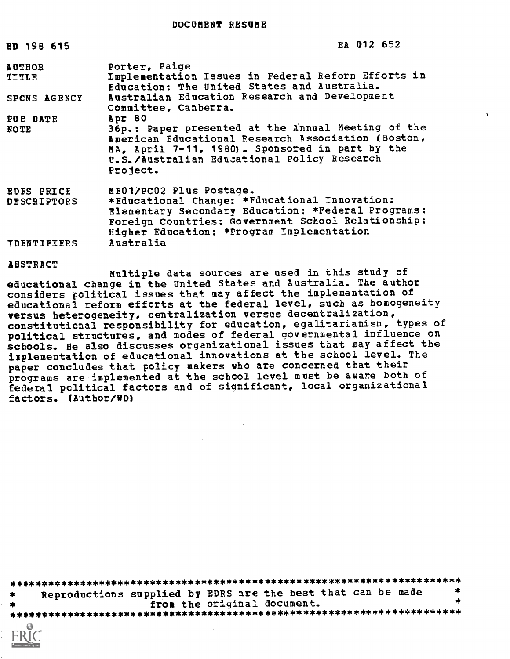DOCUMENT RESUME

| ED 198 615                    | EA 012 652                                                                                                                                                                                                             |
|-------------------------------|------------------------------------------------------------------------------------------------------------------------------------------------------------------------------------------------------------------------|
| <b>AUTHOR</b><br><b>TITLE</b> | Porter, Paige<br>Implementation Issues in Federal Reform Efforts in<br>Education: The United States and Australia.                                                                                                     |
| SPONS AGENCY                  | Australian Education Research and Development<br>Committee, Canberra.                                                                                                                                                  |
| PUE DATE                      | Apr 80                                                                                                                                                                                                                 |
| <b>NOTE</b>                   | 36p.: Paper presented at the Annual Meeting of the<br>American Educational Research Association (Boston,<br>MA, April 7-11, 1980). Sponsored in part by the<br>U.S./Australian Educational Policy Research<br>Project. |
| <b>EDES PRICE</b>             | MF01/PC02 Plus Postage.                                                                                                                                                                                                |
| <b>DESCRIPTORS</b>            | *Educational Change: *Educational Innovation:                                                                                                                                                                          |
|                               | Elementary Secondary Education: *Federal Programs:<br>Foreign Countries: Government School Relationship:<br>Higher Education: *Program Implementation                                                                  |
| <b>IDENTIFIERS</b>            | Australia                                                                                                                                                                                                              |

ABSTRACT

Multiple data sources are used in this study of educational change in the United States and Australia. The author considers political issues that may affect the implementation of educational reform efforts at the federal level, such as homogeneity versus heterogeneity, centralization versus decentralization, constitutional responsibility for education, egalitarianism, types of political structures, and modes of federal governmental influence on schools. He also discusses organizational issues that may affect the implementation of educational innovations at the school level. The paper concludes that policy makers who are concerned that their programs are implemented at the school level must be aware both of federal political factors and of significant, local organizational factors. (Author/VD)

\*\*\*\*\*\*\*\*\*\*\*\*\*\*\*\*\*\*\*\*\*\*\*\*\*\*\*\*\*\*\*\*\*\*\*\*\*\*\*\*\*\*\*\*\*\*\*\*\*\*\*\*\*\*\*\*\*\*\*\*\*\*\*\*\*\*\*\*\*\*\* Reproductions supplied by EDRS are the best that can be made from the original document. \*\*\*\*\*\*\*\*\*\*\*\*\*\*\*\*\*\*\*\*\*\*\*\*\*\*\*\*\*\*\*\*\*\*\*\*\*\*\*\*\*\*\*\*\*\*\*\*\*\*\*\*\*\*\*\*\*\*\*\*\*\*\*\*\*\*\*\*\*\*\*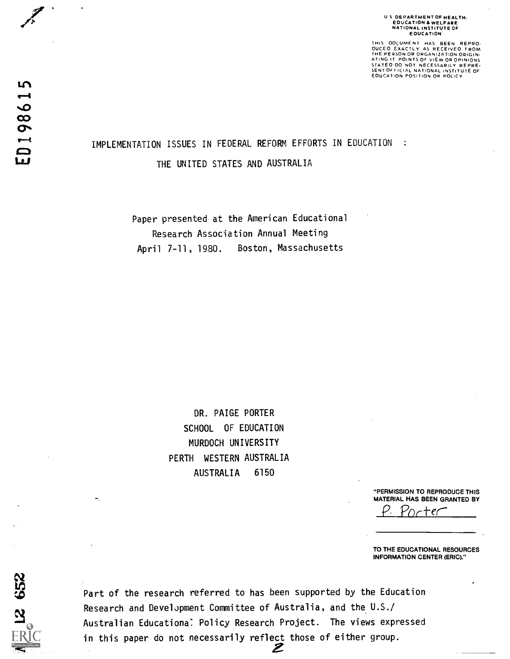### U S DEPARTMENT OF HEALTH. EDUCATION 8 WELFARE NATIONAL INSTITUTE OF EOUCATION

THIS OOCUMENT HAS BEEN REPRO.<br>OUCEO EXACTLY AS RECEIVED FROM<br>THE PERSON OR ORGANIZATION ORIGIN-<br>ATING IT POINTS OF VIEW OR OPINIONS<br>STATEO OO NOT NECESSARILY REPRE-<br>SENTOFFICIAL NATION OR POLICY<br>EOUCATION POSITION OR POLIC

# IMPLEMENTATION ISSUES IN FEDERAL REFORM EFFORTS IN EDUCATION :

THE UNITED STATES AND AUSTRALIA

Paper presented at the American Educational Research Association Annual Meeting April 7-11, 1980. Boston, Massachusetts

> DR. PAIGE PORTER SCHOOL OF EDUCATION MURDOCH UNIVERSITY PERTH WESTERN AUSTRALIA AUSTRALIA 6150

> > "PERMISSION TO REPRODUCE THIS MATERIAL HAS BEEN GRANTED BY

P. Porter'

TO THE EDUCATIONAL RESOURCES INFORMATION CENTER (ERIC)."

 $\alpha$ **In** and the set

Part of the research referred to has been supported by the Education Research and DevelJpment Committee of Australia, and the U.S./ Australian Educationa: Policy Research Project. The views expressed  $\widetilde{\rm ERIC}$  in this paper do not necessarily reflect those of either group.  $\mathbb{R}$   $\blacksquare$   $\blacksquare$   $\blacksquare$   $\blacksquare$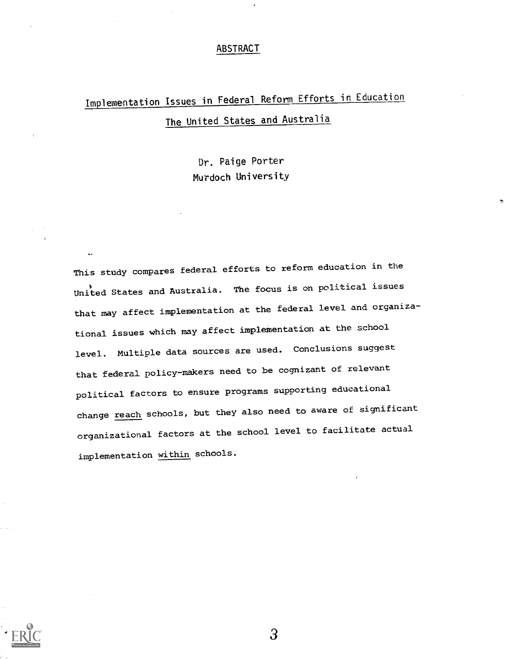#### ABSTRACT

# Implementation Issues in Federal Reform Efforts in Education The United States and Australia

Dr. Paige Porter Murdoch University

This study compares federal efforts to reform education in the United States and Australia. The focus is on political issues that may affect implementation at the federal level and organizational issues which may affect implementation at the school level. Multiple data sources are used. Conclusions suggest that federal policy-makers need to be cognizant of relevant political factors to ensure programs supporting educational change reach schools, but they also need to aware of significant organizational factors at the school level to facilitate actual implementation within schools.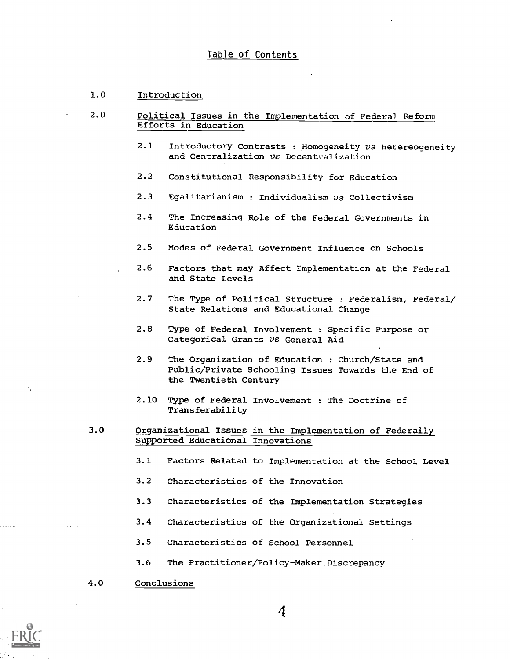#### Table of Contents

#### 1.0 Introduction

- 2.0 Political Issues in the Implementation of Federal Reform Efforts in Education
	- 2.1 Introductory Contrasts : Homogeneity vs Hetereogeneity and Centralization vs Decentralization
	- 2.2 Constitutional Responsibility for Education
	- 2.3 Egalitarianism : Individualism  $vs$  Collectivism
	- 2.4 The Increasing Role of the Federal Governments in Education
	- 2.5 Modes of Federal Government Influence on Schools
	- 2.6 Factors that may Affect Implementation at the Federal and State Levels
	- 2.7 The Type of Political Structure : Federalism, Federal/ State Relations and Educational Change
	- 2.8 Type of Federal Involvement : Specific Purpose or Categorical Grants vs General Aid
	- 2.9 The Organization of Education : Church/State and Public/Private Schooling Issues Towards the End of the Twentieth Century
	- 2.10 Type of Federal Involvement : The Doctrine of Transferability
	- 3.0 Organizational Issues in the Implementation of Federally Supported Educational Innovations
		- 3.1 Factors Related to Implementation at the School Level
		- 3.2 Characteristics of the Innovation
		- 3.3 Characteristics of the Implementation Strategies
		- 3.4 Characteristics of the Organizational Settings
		- 3.5 Characteristics of School Personnel
		- 3.6 The Practitioner/Policy-Maker. Discrepancy
	- 4.0 Conclusions

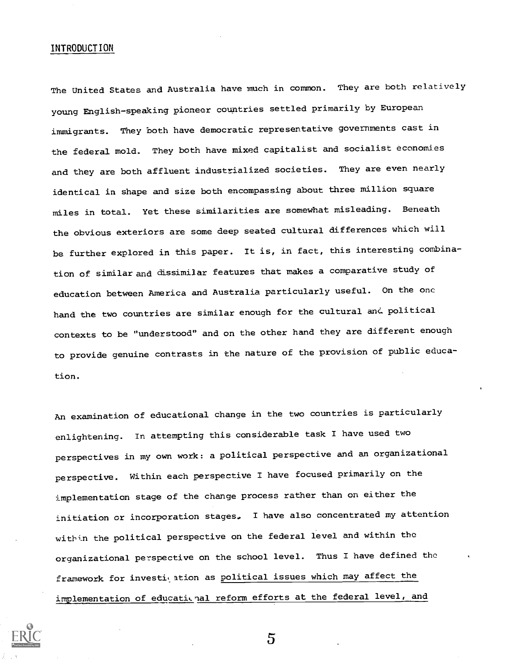#### INTRODUCTION

The United States and Australia have much in common. They are both relatively young English-speaking pioneer countries settled primarily by European immigrants. They both have democratic representative governments cast in the federal mold. They both have mixed capitalist and socialist economies and they are both affluent industrialized societies. They are even nearly identical in shape and size both encompassing about three million square miles in total. Yet these similarities are somewhat misleading. Beneath the obvious exteriors are some deep seated cultural differences which will be further explored in this paper. It is, in fact, this interesting combination of similar and dissimilar features that makes a comparative study of education between America and Australia particularly useful. On the one hand the two countries are similar enough for the cultural and political contexts to be "understood" and on the other hand they are different enough to provide genuine contrasts in the nature of the provision of public education.

An examination of educational change in the two countries is particularly enlightening. In attempting this considerable task I have used two perspectives in my own work: a political perspective and an organizational perspective. Within each perspective I have focused primarily on the implementation stage of the change process rather than on either the initiation or incorporation stages. I have also concentrated my attention within the political perspective on the federal level and within the organizational perspective on the school level. Thus I have defined the framework for investigation as political issues which may affect the implementation of educational reform efforts at the federal level, and

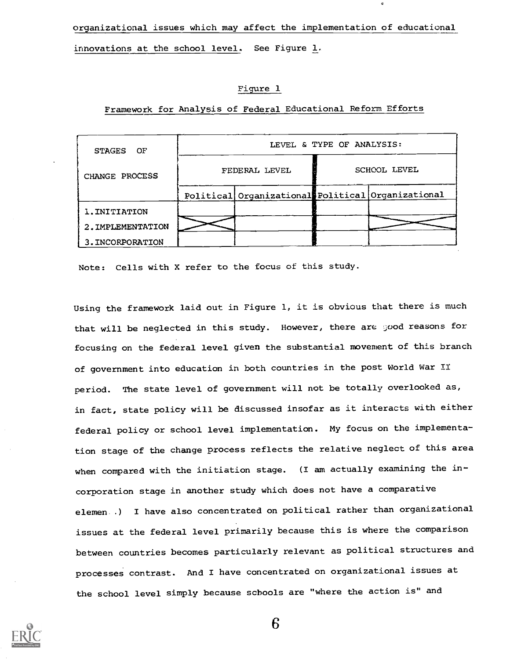organizational issues which may affect the implementation of educational innovations at the school level. See Figure 1.

#### Figure 1

| STAGES OF         | LEVEL & TYPE OF ANALYSIS: |                                                   |              |  |
|-------------------|---------------------------|---------------------------------------------------|--------------|--|
| CHANGE PROCESS    | FEDERAL LEVEL             |                                                   | SCHOOL LEVEL |  |
|                   |                           | Political Organizational Political Organizational |              |  |
| 1. INITIATION     |                           |                                                   |              |  |
| 2. IMPLEMENTATION |                           |                                                   |              |  |
| 3. INCORPORATION  |                           |                                                   |              |  |

Framework for Analysis of Federal Educational Reform Efforts

Note: Cells with X refer to the focus of this study.

Using the framework laid out in Figure 1, it is obvious that there is much that will be neglected in this study. However, there are good reasons for focusing on the federal level given the substantial movement of this branch of government into education in both countries in the post World War II period. The state level of government will not be totally overlooked as, in fact, state policy will be discussed insofar as it interacts with either federal policy or school level implementation. My focus on the implementation stage of the change process reflects the relative neglect of this area when compared with the initiation stage. (I am actually examining the incorporation stage in another study which does not have a comparative elemen..) I have also concentrated on political rather than organizational issues at the federal level primarily because this is where the comparison between countries becomes particularly relevant as political structures and processes contrast. And I have concentrated on organizational issues at the school level simply because schools are "where the action is" and

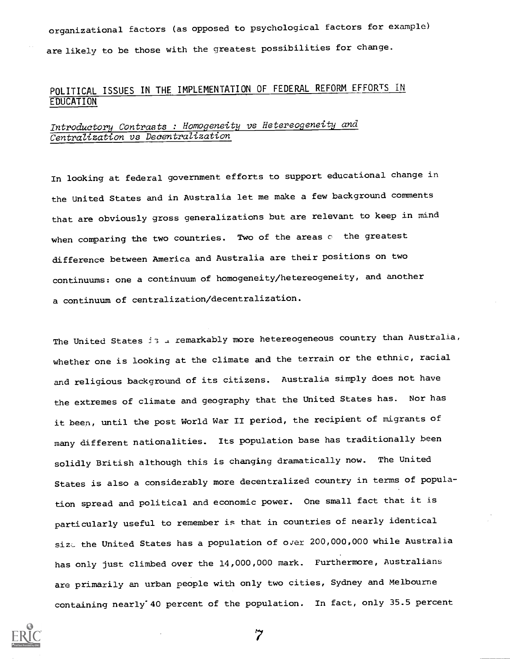organizational factors (as opposed to psychological factors for example) are likely to be those with the greatest possibilities for change.

# POLITICAL ISSUES IN THE IMPLEMENTATION OF FEDERAL REFORM EFFORTS IN EDUCATION

# Introductory Contrasts : Homogeneity vs Hetereogeneity and Centralization vs Decentralization

In looking at federal government efforts to support educational change in the United States and in Australia let me make a few background comments that are obviously gross generalizations but are relevant to keep in mind when comparing the two countries. Two of the areas c the greatest difference between America and Australia are their positions on two continuums: one a continuum of homogeneity/hetereogeneity, and another a continuum of centralization/decentralization.

The United States is . remarkably more hetereogeneous country than Australia, whether one is looking at the climate and the terrain or the ethnic, racial and religious background of its citizens. Australia simply does not have the extremes of climate and geography that the United States has. Nor has it been, until the post World War II period, the recipient of migrants of many different nationalities. Its population base has traditionally been solidly British although this is changing dramatically now. The United States is also a considerably more decentralized country in terms of population spread and political and economic power. One small fact that it is particularly useful to remember is that in countries of nearly identical size the United States has a population of over 200,000,000 while Australia has only just climbed over the 14,000,000 mark. Furthermore, Australians are primarily an urban people with only two cities, Sydney and Melbourne containing nearly"40 percent of the population. In fact, only 35.5 percent



 $\boldsymbol{7}$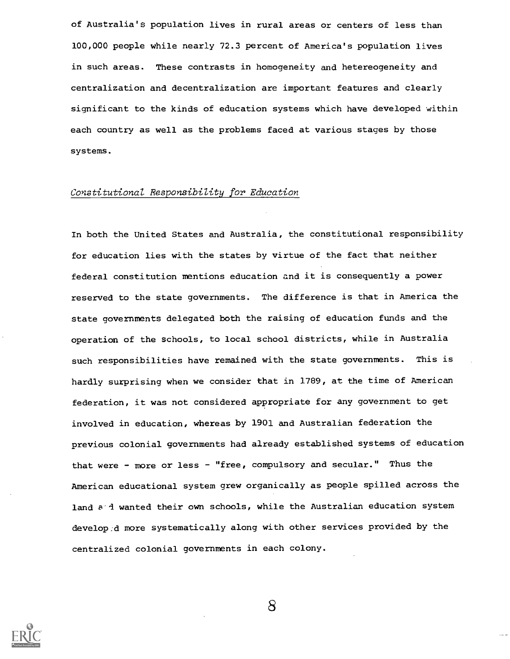of Australia's population lives in rural areas or centers of less than 100,000 people while nearly 72.3 percent of America's population lives in such areas. These contrasts in homogeneity and hetereogeneity and centralization and decentralization are important features and clearly significant to the kinds of education systems which have developed within each country as well as the problems faced at various stages by those systems.

#### Constitutional Responsibility for Education

In both the United States and Australia, the constitutional responsibility for education lies with the states by virtue of the fact that neither federal constitution mentions education and it is consequently a power reserved to the state governments. The difference is that in America the state governments delegated both the raising of education funds and the operation of the schools, to local school districts, while in Australia such responsibilities have remained with the state governments. This is hardly surprising when we consider that in 1789, at the time of American federation, it was not considered appropriate for any government to get involved in education, whereas by 1901 and Australian federation the previous colonial governments had already established systems of education that were - more or less - "free, compulsory and secular." Thus the American educational system grew organically as people spilled across the land a d wanted their own schools, while the Australian education system developed more systematically along with other services provided by the centralized colonial governments in each colony.



 $8\phantom{1}$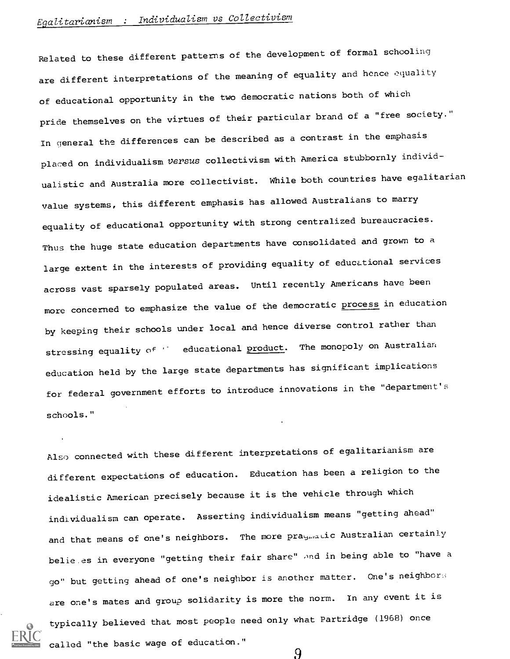# Egalitarianism : Individualism vs Collectivism

Related to these different patterns of the development of formal schooling are different interpretations of the meaning of equality and hence equality of educational opportunity in the two democratic nations both of which pride themselves on the virtues of their particular brand of a "free society." In general the differences can be described as a contrast in the emphasis placed on individualism versus collectivism with America stubbornly individualistic and Australia more collectivist. While both countries have egalitarian value systems, this different emphasis has allowed Australians to marry equality of educational opportunity with strong centralized bureaucracies. Thus the huge state education departments have consolidated and grown to a large extent in the interests of providing equality of educational services across vast sparsely populated areas. Until recently Americans have been more concerned to emphasize the value of the democratic process in education by keeping their schools under local and hence diverse control rather than stressing equality of " educational product. The monopoly on Australian education held by the large state departments has significant implications for federal government efforts to introduce innovations in the "department's schools."

Also connected with these different interpretations of egalitarianism are different expectations of education. Education has been a religion to the idealistic American precisely because it is the vehicle through which individualism can operate. Asserting individualism means "getting ahead" and that means of one's neighbors. The more praginatic Australian certainly belie es in everyone "getting their fair share" and in being able to "have a go" but getting ahead of one's neighbor is another matter. One's neighbors are one's mates and group solidarity is more the norm. In any event it is typically believed that most people need only what Partridge (1968) once called "the basic wage of education."9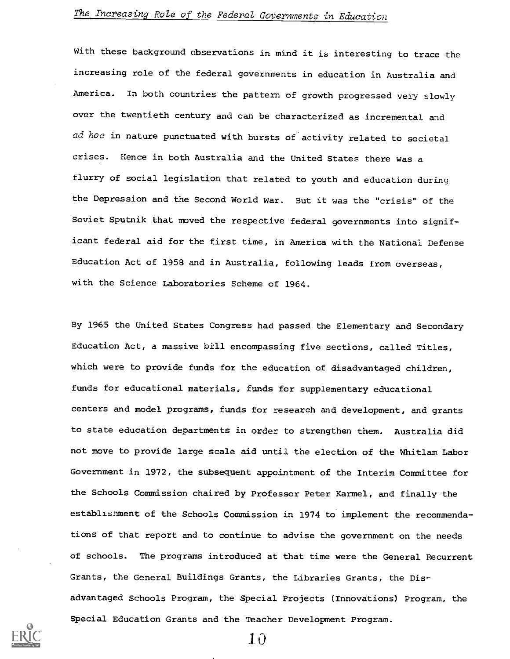# The Increasing Role of the Federal Governments in Education

With these background observations in mind it is interesting to trace the increasing role of the federal governments in education in Australia and America. In both countries the pattern of growth progressed very slowly over the twentieth century and can be characterized as incremental and ad hoc in nature punctuated with bursts of activity related to societal crises. Hence in both Australia and the United States there was a flurry of social legislation that related to youth and education during the Depression and the Second World War. But it was the "crisis" of the Soviet Sputnik that moved the respective federal governments into significant federal aid for the first time, in America with the National Defense Education Act of 1958 and in Australia, following leads from overseas, with the Science Laboratories Scheme of 1964.

By 1965 the United States Congress had passed the Elementary and Secondary Education Act, a massive bill encompassing five sections, called Titles, which were to provide funds for the education of disadvantaged children, funds for educational materials, funds for supplementary educational centers and model programs, funds for research and development, and grants to state education departments in order to strengthen them. Australia did not move to provide large scale aid until the election of the Whitlam Labor Government in 1972, the subsequent appointment of the Interim Committee for the Schools Commission chaired by Professor Peter Karmel, and finally the establishment of the Schools Commission in 1974 to implement the recommendations of that report and to continue to advise the government on the needs of schools. The programs introduced at that time were the General Recurrent Grants, the General Buildings Grants, the Libraries Grants, the Disadvantaged Schools Program, the Special Projects (Innovations) Program, the Special Education Grants and the Teacher Development Program.

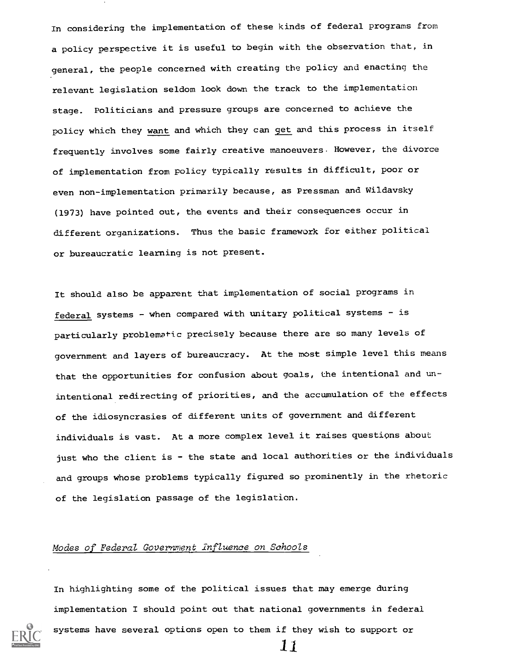In considering the implementation of these kinds of federal programs from a policy perspective it is useful to begin with the observation that, in general, the people concerned with creating the policy and enacting the relevant legislation seldom look down the track to the implementation stage. Politicians and pressure groups are concerned to achieve the policy which they want and which they can get and this process in itself frequently involves some fairly creative manoeuvers. However, the divorce of implementation from policy typically results in difficult, poor or even non-implementation primarily because, as Pressman and Wildaysky (1973) have pointed out, the events and their consequences occur in different organizations. Thus the basic framework for either political or bureaucratic learning is not present.

It should also be apparent that implementation of social programs in federal systems - when compared with unitary political systems - is particularly problematic precisely because there are so many levels of government and layers of bureaucracy. At the most simple level this means that the opportunities for confusion about goals, the intentional and unintentional redirecting of priorities, and the accumulation of the effects of the idiosyncrasies of different units of government and different individuals is vast. At a more complex level it raises questions about just who the client is - the state and local authorities or the individuals and groups whose problems typically figured so prominently in the rhetoric of the legislation passage of the legislation.

#### Modes of Federal Government Influence on Schools

In highlighting some of the political issues that may emerge during implementation I should point out that national governments in federal



systems have several options open to them if they wish to support or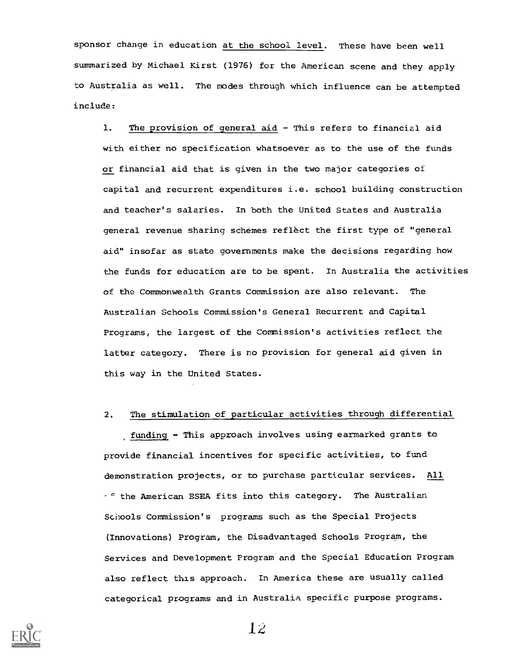sponsor change in education at the school level. These have been well summarized by Michael Kirst (1976) for the American scene and they apply to Australia as well. The modes through which influence can be attempted include:

1. The provision of general aid - This refers to financial aid with either no specification whatsoever as to the use of the funds or financial aid that is given in the two major categories of capital and recurrent expenditures i.e. school building construction and teacher's salaries. In both the United States and Australia general revenue sharing schemes reflect the first type of "general aid" insofar as state governments make the decisions regarding how the funds for education are to be spent. In Australia the activities of the Commonwealth Grants Commission are also relevant. The Australian Schools Commission's General Recurrent and Capital Programs, the largest of the Commission's activities reflect the latter category. There is no provision for general aid given in this way in the United States.

#### 2. The stimulation of particular activities through differential

funding - This approach involves using earmarked grants to provide financial incentives for specific activities, to fund demonstration projects, or to purchase particular services. All  $t<sup>c</sup>$  the American ESEA fits into this category. The Australian Schools Commission's programs such as the Special Projects (Innovations) Program, the Disadvantaged Schools Program, the Services and Development Program and the Special Education Program also reflect this approach. In America these are usually called categorical programs and in Australia specific purpose programs.

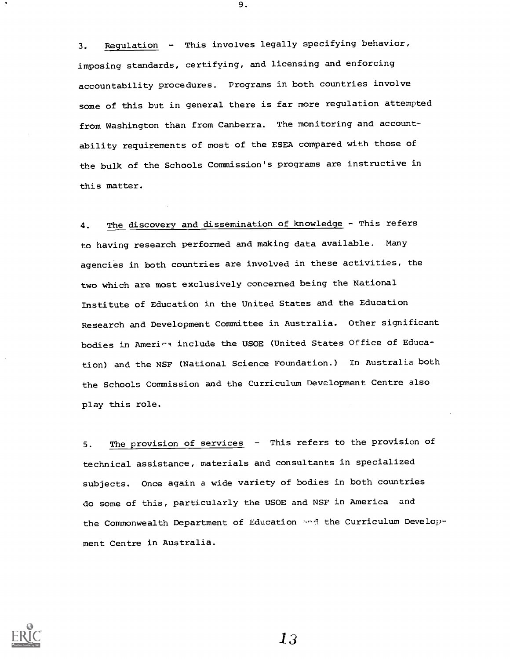3. Regulation - This involves legally specifying behavior, imposing standards, certifying, and licensing and enforcing accountability procedures. Programs in both countries involve some of this but in general there is far more regulation attempted from Washington than from Canberra. The monitoring and accountability requirements of most of the ESEA compared with those of the bulk of the Schools Commission's programs are instructive in this matter.

4. The discovery and dissemination of knowledge - This refers to having research performed and making data available. Many agencies in both countries are involved in these activities, the two which are most exclusively concerned being the National Institute of Education in the United States and the Education Research and Development Committee in Australia. Other significant bodies in America include the USOE (United States Office of Education) and the NSF (National Science Foundation.) In Australia both the Schools Commission and the Curriculum Development Centre also play this role.

5. The provision of services - This refers to the provision of technical assistance, materials and consultants in specialized subjects. Once again a wide variety of bodies in both countries do some of this, particularly the USOE and NSF in America and the Commonwealth Department of Education and the Curriculum Development Centre in Australia.



9.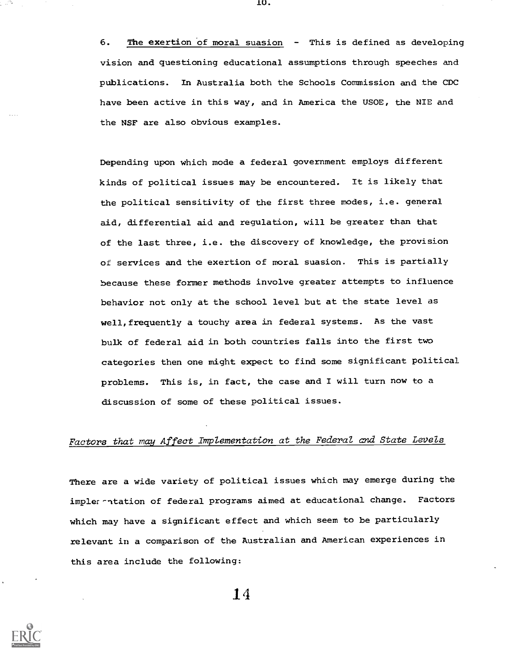6. The exertion of moral suasion - This is defined as developing vision and questioning educational assumptions through speeches and publications. In Australia both the Schools Commission and the CDC have been active in this way, and in America the USOE, the NIE and the NSF are also obvious examples.

Depending upon which mode a federal government employs different kinds of political issues may be encountered. It is likely that the political sensitivity of the first three modes, i.e. general aid, differential aid and regulation, will be greater than that of the last three, i.e. the discovery of knowledge, the provision of services and the exertion of moral suasion. This is partially because these former methods involve greater attempts to influence behavior not only at the school level but at the state level as well, frequently a touchy area in federal systems. As the vast bulk of federal aid in both countries falls into the first two categories then one might expect to find some significant political problems. This is, in fact, the case and I will turn now to a discussion of some of these political issues.

#### Factors that may Affect Implementation at the Federal and State Levels

There are a wide variety of political issues which may emerge during the impler-ntation of federal programs aimed at educational change. Factors which may have a significant effect and which seem to be particularly relevant in a comparison of the Australian and American experiences in this area include the following:

14



'U.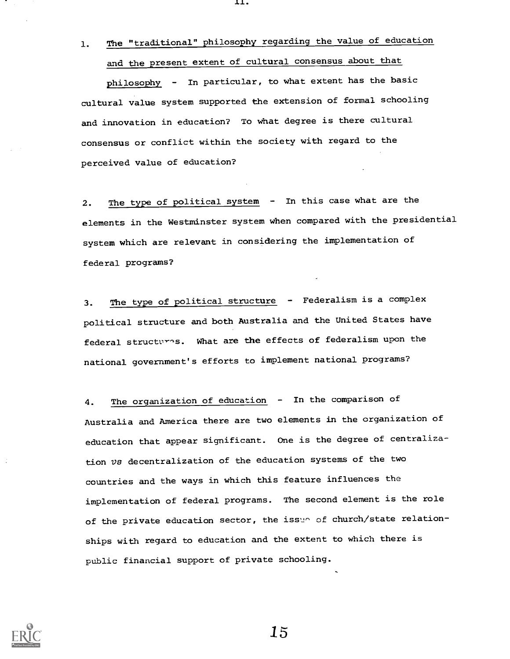1. The "traditional" philosophy regarding the value of education and the present extent of cultural consensus about that

11.

philosophy - In particular, to what extent has the basic cultural value system supported the extension of formal schooling and innovation in education? To what degree is there cultural consensus or conflict within the society with regard to the perceived value of education?

2. The type of political system - In this case what are the elements in the Westminster system when compared with the presidential system which are relevant in considering the implementation of federal programs?

3. The type of political structure - Federalism is a complex political structure and both Australia and the United States have federal structures. What are the effects of federalism upon the national government's efforts to implement national programs?

4. The organization of education - In the comparison of Australia and America there are two elements in the organization of education that appear significant. One is the degree of centralization Vs decentralization of the education systems of the two countries and the ways in which this feature influences the implementation of federal programs. The second element is the role of the private education sector, the issue of church/state relationships with regard to education and the extent to which there is public financial support of private schooling.

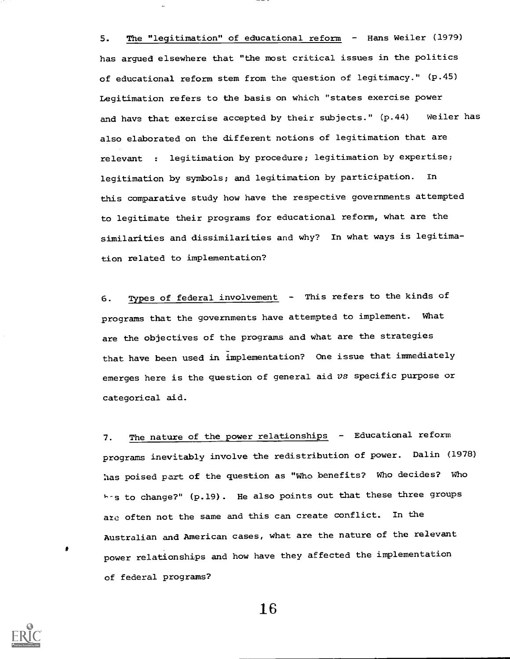5. The "legitimation" of educational reform - Hans Weiler (1979) has argued elsewhere that "the most critical issues in the politics of educational reform stem from the question of legitimacy." (p.45) Legitimation refers to the basis on which "states exercise power and have that exercise accepted by their subjects."  $(p.44)$  Weiler has also elaborated on the different notions of legitimation that are relevant : legitimation by procedure; legitimation by expertise; legitimation by symbols; and legitimation by participation. In this comparative study how have the respective governments attempted to legitimate their programs for educational reform, what are the similarities and dissimilarities and why? In what ways is legitimation related to implementation?

6. Types of federal involvement - This refers to the kinds of programs that the governments have attempted to implement. What are the objectives of the programs and what are the strategies that have been used in implementation? One issue that immediately emerges here is the question of general aid  $vs$  specific purpose or categorical aid.

7. The nature of the power relationships - Educational reform programs inevitably involve the redistribution of power. Dalin (1978) has poised part of the question as "Who benefits? Who decides? Who his to change?" (p.19). He also points out that these three groups are often not the same and this can create conflict. In the Australian and American cases, what are the nature of the relevant power relationships and how have they affected the implementation of federal programs?

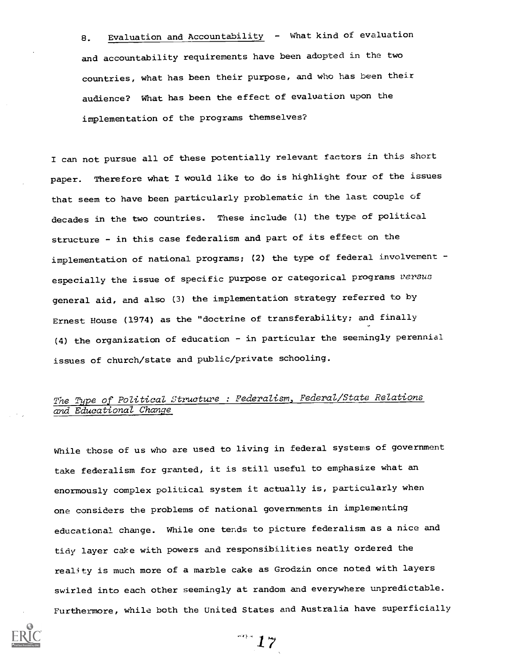8. Evaluation and Accountability - What kind of evaluation and accountability requirements have been adopted in the two countries, what has been their purpose, and who has been their audience? What has been the effect of evaluation upon the implementation of the programs themselves?

I can not pursue all of these potentially relevant factors in this short paper. Therefore what I would like to do is highlight four of the issues that seem to have been particularly problematic in the last couple of decades in the two countries. These include (1) the type of political structure - in this case federalism and part of its effect on the implementation of national programs; (2) the type of federal involvement especially the issue of specific purpose or categorical programs versus general aid, and also (3) the implementation strategy referred to by Ernest House (1974) as the "doctrine of transferability; and finally (4) the organization of education - in particular the seemingly perennial issues of church/state and public/private schooling.

# The Type of Political Structure : Federalism, Federal/State Relations and Educational Change

While those of us who are used to living in federal systems of government take federalism for granted, it is still useful to emphasize what an enormously complex political system it actually is, particularly when one considers the problems of national governments in implementing educational change. While one tends to picture federalism as a nice and tidy layer cake with powers and responsibilities neatly ordered the reality is much more of a marble cake as Grodzin once noted with layers swirled into each other seemingly at random and everywhere unpredictable. Furthermore, while both the United States and Australia have superficially

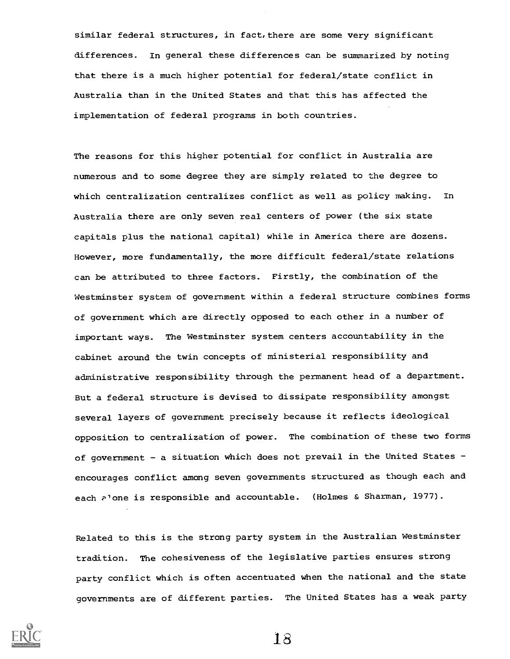similar federal structures, in fact,there are some very significant differences. In general these differences can be summarized by noting that there is a much higher potential for federal/state conflict in Australia than in the United States and that this has affected the implementation of federal programs in both countries.

The reasons for this higher potential for conflict in Australia are numerous and to some degree they are simply related to the degree to which centralization centralizes conflict as well as policy making. In Australia there are only seven real centers of power (the six state capitals plus the national capital) while in America there are dozens. However, more fundamentally, the more difficult federal/state relations can be attributed to three factors. Firstly, the combination of the Westminster system of government within a federal structure combines forms of government which are directly opposed to each other in a number of important ways. The Westminster system centers accountability in the cabinet around the twin concepts of ministerial responsibility and administrative responsibility through the permanent head of a department. But a federal structure is devised to dissipate responsibility amongst several layers of government precisely because it reflects ideological opposition to centralization of power. The combination of these two forms of government - a situation which does not prevail in the United States encourages conflict among seven governments structured as though each and each P'one is responsible and accountable. (Holmes & Sharman, 1977).

Related to this is the strong party system in the Australian Westminster tradition. The cohesiveness of the legislative parties ensures strong party conflict which is often accentuated when the national and the state governments are of different parties. The United States has a weak party

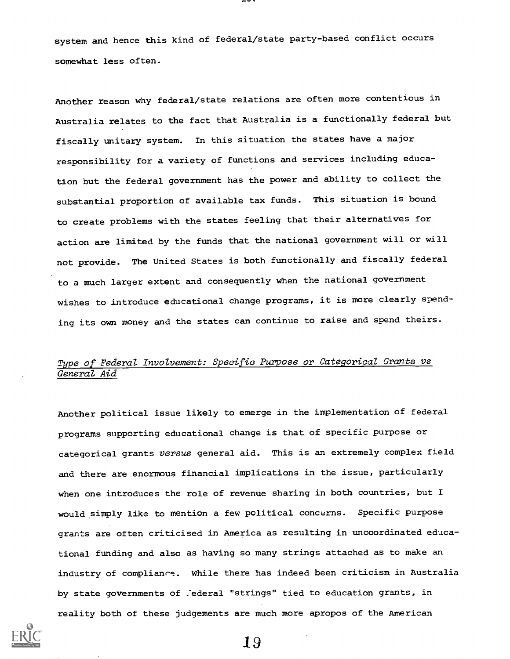system and hence this kind of federal/state party-based conflict occurs somewhat less often.

Another reason why federal/state relations are often more contentious in Australia relates to the fact that Australia is a functionally federal but fiscally unitary system. In this situation the states have a major responsibility for a variety of functions and services including education but the federal government has the power and ability to collect the substantial proportion of available tax funds. This situation is bound to create problems with the states feeling that their alternatives for action are limited by the funds that the national government will or will not provide. The United States is both functionally and fiscally federal to a much larger extent and consequently when the national government wishes to introduce educational change programs, it is more clearly spending its own money and the states can continue to raise and spend theirs.

### Type of Federal Involvement: Specific Purpose or Categorical Grants vs General Aid

Another political issue likely to emerge in the implementation of federal programs supporting educational change is that of specific purpose or categorical grants versus general aid. This is an extremely complex field and there are enormous financial implications in the issue, particularly when one introduces the role of revenue sharing in both countries, but I would simply like to mention a few political concerns. Specific purpose grants are often criticised in America as resulting in uncoordinated educational funding and also as having so many strings attached as to make an industry of compliance. While there has indeed been criticism in Australia by state governments of . ederal "strings" tied to education grants, in reality both of these judgements are much more apropos of the American

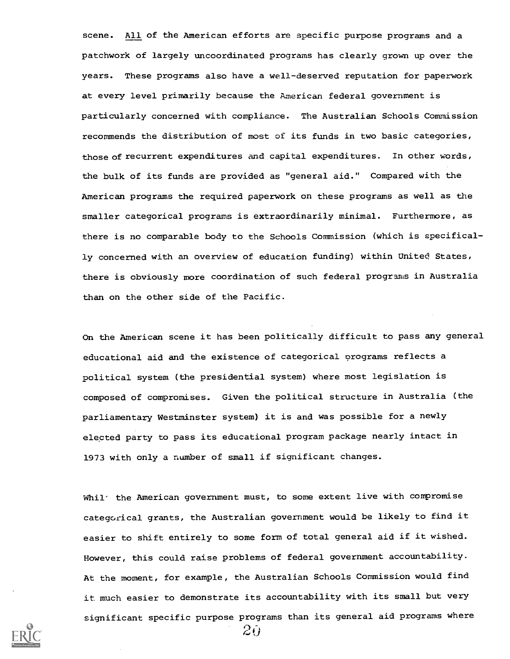scene. All of the American efforts are specific purpose programs and a patchwork of largely uncoordinated programs has clearly grown up over the years. These programs also have a well-deserved reputation for paperwork at every level primarily because the American federal government is particularly concerned with compliance. The Australian Schools Commission recommends the distribution of most of its funds in two basic categories, those of recurrent expenditures and capital expenditures. In other words, the bulk of its funds are provided as "general aid." Compared with the American programs the required paperwork on these programs as well as the smaller categorical programs is extraordinarily minimal. Furthermore, as there is no comparable body to the Schools Commission (which is specifically concerned with an overview of education funding) within United States, there is obviously more coordination of such federal programs in Australia than on the other side of the Pacific.

On the American scene it has been politically difficult to pass any general educational aid and the existence of categorical orograms reflects a political system (the presidential system) where most legislation is composed of compromises. Given the political structure in Australia (the parliamentary Westminster system) it is and was possible for a newly elected party to pass its educational program package nearly intact in 1973 with only a number of small if significant changes.

Whil<sup>-</sup> the American government must, to some extent live with compromise categorical grants, the Australian government would be likely to find it easier to shift entirely to some form of total general aid if it wished. However, this could raise problems of federal government accountability. At the moment, for example, the Australian Schools Commission would find it much easier to demonstrate its accountability with its small but very significant specific purpose programs than its general aid programs where



 $2\overline{0}$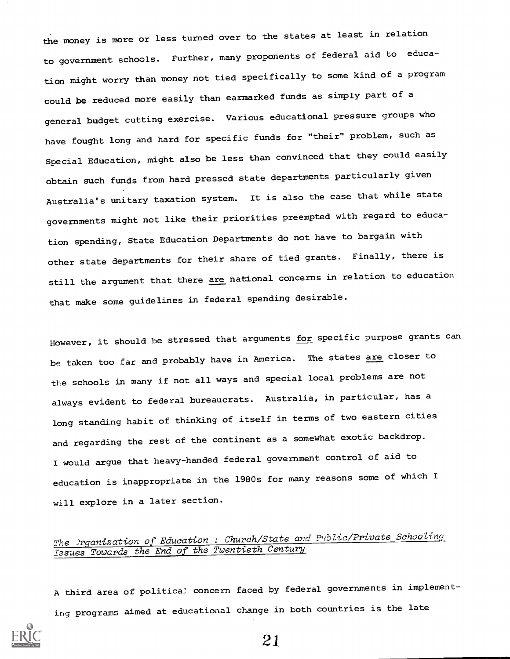the money is more or less turned over to the states at least in relation to government schools. Further, many proponents of federal aid to education might worry than money not tied specifically to some kind of a program could be reduced more easily than earmarked funds as simply part of a general budget cutting exercise. Various educational pressure groups who have fought long and hard for specific funds for "their" problem, such as Special Education, might also be less than convinced that they could easily obtain such funds from hard pressed state departments particularly given Australia's unitary taxation system. It is also the case that while state governments might not like their priorities preempted with regard to education spending, State Education Departments do not have to bargain with other state departments for their share of tied grants. Finally, there is still the argument that there are national concerns in relation to education that make some guidelines in federal spending desirable.

However, it should be stressed that arguments for specific purpose grants can be taken too far and probably have in America. The states are closer to the schools in many if not all ways and special local problems are not always evident to federal bureaucrats. Australia, in particular, has a long standing habit of thinking of itself in terms of two eastern cities and regarding the rest of the continent as a somewhat exotic backdrop. I would argue that heavy-handed federal government control of aid to education is inappropriate in the 1980s for many reasons some of which I will explore in a later section.

## The Jrganization of Education : Church/State and Public/Private Schooling Issues Towards the End of the Twentieth Century

A third area of politica: concern faced by federal governments in implementing programs aimed at educational change in both countries is the late

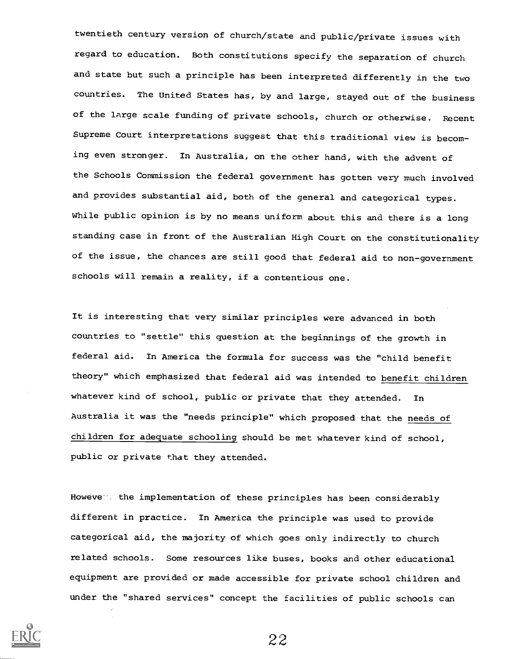twentieth century version of church/state and public/private issues with regard to education. Both constitutions specify the separation of church and state but such a principle has been interpreted differently in the two countries. The United States has, by and large, stayed out of the business of the large scale funding of private schools, church or otherwise. Recent Supreme Court interpretations suggest that this traditional view is becoming even stronger. In Australia, on the other hand, with the advent of the Schools Commission the federal government has gotten very much involved and provides substantial aid, both of the general and categorical types. While public opinion is by no means uniform about this and there is a long standing case in front of the Australian High Court on the constitutionality of the issue, the chances are still good that federal aid to non-government schools will remain a reality, if a contentious one.

It is interesting that very similar principles were advanced in both countries to "settle" this question at the beginnings of the growth in federal aid. In America the formula for success was the "child benefit theory" which emphasized that federal aid was intended to benefit children whatever kind of school, public or private that they attended. In Australia it was the "needs principle" which proposed that the needs of children for adequate schooling should be met whatever kind of school, public or private that they attended.

However, the implementation of these principles has been considerably different in practice. In America the principle was used to provide categorical aid, the majority of which goes only indirectly to church related schools. Some resources like buses, books and other educational equipment are provided or made accessible for private school children and under the "shared services" concept the facilities of public schools can

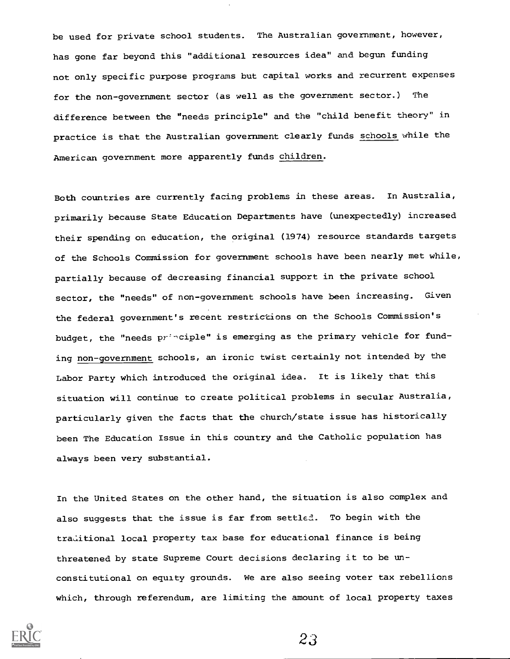be used for private school students. The Australian government, however, has gone far beyond this "additional resources idea" and begun funding not only specific purpose programs but capital works and recurrent expenses for the non-government sector (as well as the government sector.) The difference between the "needs principle" and the "child benefit theory" in practice is that the Australian government clearly funds schools while the American government more apparently funds children.

Both countries are currently facing problems in these areas. In Australia, primarily because State Education Departments have (unexpectedly) increased their spending on education, the original (1974) resource standards targets of the Schools Commission for government schools have been nearly met while, partially because of decreasing financial support in the private school sector, the "needs" of non-government schools have been increasing. Given the federal government's recent restrictions on the Schools Commission's budget, the "needs principle" is emerging as the primary vehicle for funding non-government schools, an ironic twist certainly not intended by the Labor Party which introduced the original idea. It is likely that this situation will continue to create political problems in secular Australia, particularly given the facts that the church/state issue has historically been The Education Issue in this country and the Catholic population has always been very substantial.

In the United States on the other hand, the situation is also complex and also suggests that the issue is far from settled. To begin with the traditional local property tax base for educational finance is being threatened by state Supreme Court decisions declaring it to be unconstitutional on equity grounds. We are also seeing voter tax rebellions which, through referendum, are limiting the amount of local property taxes

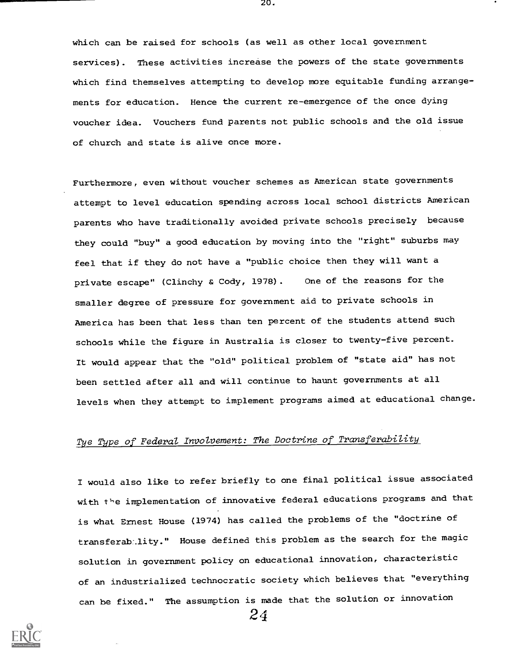which can be raised for schools (as well as other local government services). These activities increase the powers of the state governments which find themselves attempting to develop more equitable funding arrangements for education. Hence the current re-emergence of the once dying voucher idea. Vouchers fund parents not public schools and the old issue of church and state is alive once more.

20.

Furthermore, even without voucher schemes as American state governments attempt to level education spending across local school districts American parents who have traditionally avoided private schools precisely because they could "buy" a good education by moving into the "right" suburbs may feel that if they do not have a "public choice then they will want a private escape" (Clinchy & Cody, 1978). One of the reasons for the smaller degree of pressure for government aid to private schools in America has been that less than ten percent of the students attend such schools while the figure in Australia is closer to twenty-five percent. It would appear that the "old" political problem of "state aid" has not been settled after all and will continue to haunt governments at all levels when they attempt to implement programs aimed at educational change.

# Tye Type of Federal Involvement: The Doctrine of Transferability

I would also like to refer briefly to one final political issue associated with the implementation of innovative federal educations programs and that is what Ernest House (1974) has called the problems of the "doctrine of transferab-.1ity." House defined this problem as the search for the magic solution in government policy on educational innovation, characteristic of an industrialized technocratic society which believes that "everything can be fixed." The assumption is made that the solution or innovation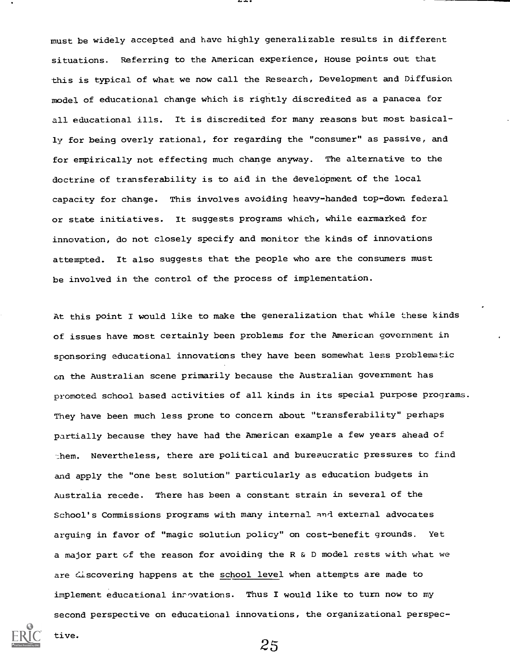must be widely accepted and have highly generalizable results in different situations. Referring to the American experience, House points out that this is typical of what we now call the Research, Development and Diffusion model of educational change which is rightly discredited as a panacea for all educational ills. It is discredited for many reasons but most basically for being overly rational, for regarding the "consumer" as passive, and for empirically not effecting much change anyway. The alternative to the doctrine of transferability is to aid in the development of the local capacity for change. This involves avoiding heavy-handed top-down federal or state initiatives. It suggests programs which, while earmarked for innovation, do not closely specify and monitor the kinds of innovations attempted. It also suggests that the people who are the consumers must be involved in the control of the process of implementation.

At this point I would like to make the generalization that while these kinds of issues have most certainly been problems for the American government in sponsoring educational innovations they have been somewhat less problematic on the Australian scene primarily because the Australian government has promoted school based activities of all kinds in its special purpose programs. They have been much less prone to concern about "transferability" perhaps partially because they have had the American example a few years ahead of them. Nevertheless, there are political and bureaucratic pressures to find and apply the "one best solution" particularly as education budgets in Australia recede. There has been a constant strain in several of the School's Commissions programs with many internal and external advocates arguing in favor of "magic solution policy" on cost-benefit grounds. Yet a major part of the reason for avoiding the R & D model rests with what we are discovering happens at the school level when attempts are made to implement educational inrovations. Thus I would like to turn now to my second perspective on educational innovations, the organizational perspec-



tive.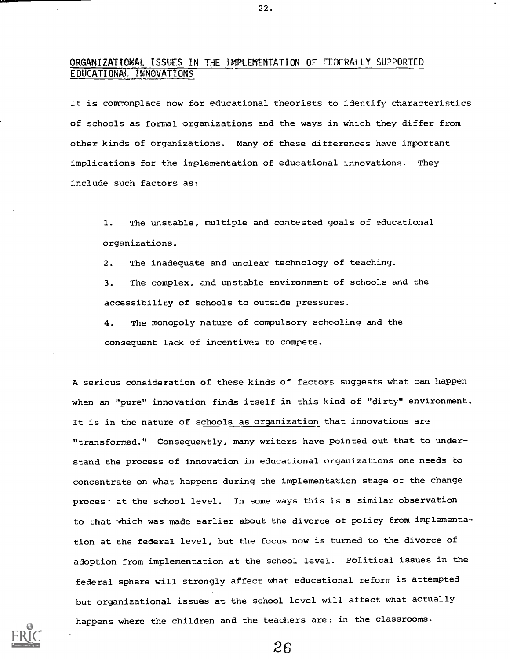#### ORGANIZATIONAL ISSUES IN THE IMPLEMENTATION OF FEDERALLY SUPPORTED EDUCATIONAL INNOVATIONS

22.

It is commonplace now for educational theorists to identify characteristics of schools as formal organizations and the ways in which they differ from other kinds of organizations. Many of these differences have important implications for the implementation of educational innovations. They include such factors as:

1. The unstable, multiple and contested goals of educational organizations.

2. The inadequate and unclear technology of teaching.

3. The complex, and unstable environment of schools and the accessibility of schools to outside pressures.

4. The monopoly nature of compulsory schooling and the consequent lack of incentives to compete.

A serious consideration of these kinds of factors suggests what can happen when an "pure" innovation finds itself in this kind of "dirty" environment. It is in the nature of schools as organization that innovations are "transformed." Consequently, many writers have pointed out that to understand the process of innovation in educational organizations one needs to concentrate on what happens during the implementation stage of the change proces at the school level. In some ways this is a similar observation to that which was made earlier about the divorce of policy from implementation at the federal level, but the focus now is turned to the divorce of adoption from implementation at the school level. Political issues in the federal sphere will strongly affect what educational reform is attempted but organizational issues at the school level will affect what actually happens where the children and the teachers are: in the classrooms.

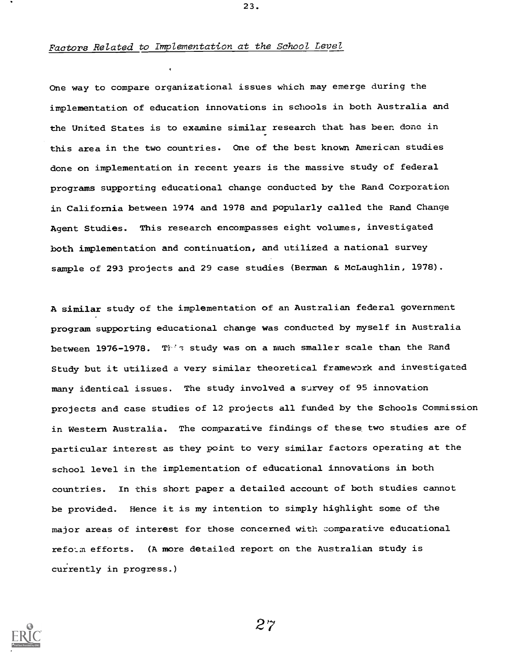#### Factors Related to Implementation at the School Level

One way to compare organizational issues which may emerge during the implementation of education innovations in schools in both Australia and the United States is to examine similar research that has been done in this area in the two countries. One of the best known American studies done on implementation in recent years is the massive study of federal programs supporting educational change conducted by the Rand Corporation in California between 1974 and 1978 and popularly called the Rand Change Agent Studies. This research encompasses eight volumes, investigated both implementation and continuation, and utilized a national survey sample of 293 projects and 29 case studies (Berman & McLaughlin, 1978).

23.

A similar study of the implementation of an Australian federal government program supporting educational change was conducted by myself in Australia between 1976-1978. This study was on a much smaller scale than the Rand Study but it utilized a very similar theoretical framework and investigated many identical issues. The study involved a survey of 95 innovation projects and case studies of 12 projects all funded by the Schools Commission in Western Australia. The comparative findings of these two studies are of particular interest as they point to very similar factors operating at the school level in the implementation of educational innovations in both countries. In this short paper a detailed account of both studies cannot be provided. Hence it is my intention to simply highlight some of the major areas of interest for those concerned with comparative educational refolm efforts. (A more detailed report on the Australian study is currently in progress.)

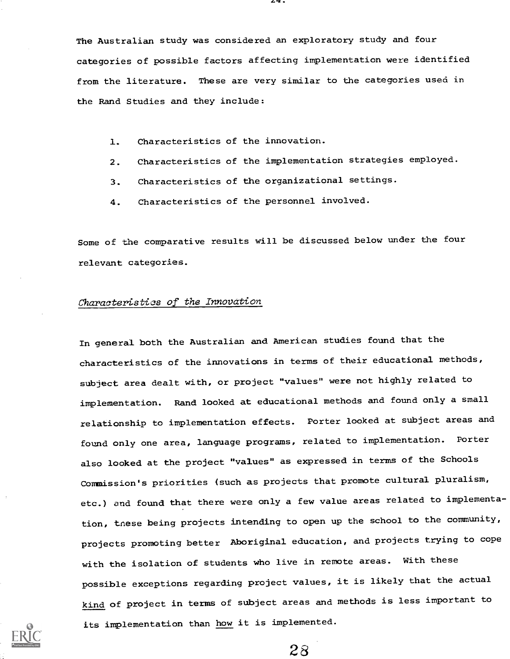The Australian study was considered an exploratory study and four categories of possible factors affecting implementation were identified from the literature. These are very similar to the categories used in the Rand Studies and they include:

- 1. Characteristics of the innovation.
- 2. Characteristics of the implementation strategies employed.
- 3. Characteristics of the organizational settings.
- 4. Characteristics of the personnel involved.

Some of the comparative results will be discussed below under the four relevant categories.

#### Characteristics of the Innovation

In general both the Australian and American studies found that the characteristics of the innovations in terms of their educational methods, subject area dealt with, or project "values" were not highly related to implementation. Rand looked at educational methods and found only a small relationship to implementation effects. Porter looked at subject areas and found only one area, language programs, related to implementation. Porter also looked at the project "values" as expressed in terms of the Schools Commission's priorities (such as projects that promote cultural pluralism, etc.) and found that there were only a few value areas related to implementation, tnese being projects intending to open up the school to the community, projects promoting better Aboriginal education, and projects trying to cope with the isolation of students who live in remote areas. With these possible exceptions regarding project values, it is likely that the actual kind of project in terms of subject areas and methods is less important to its implementation than how it is implemented.

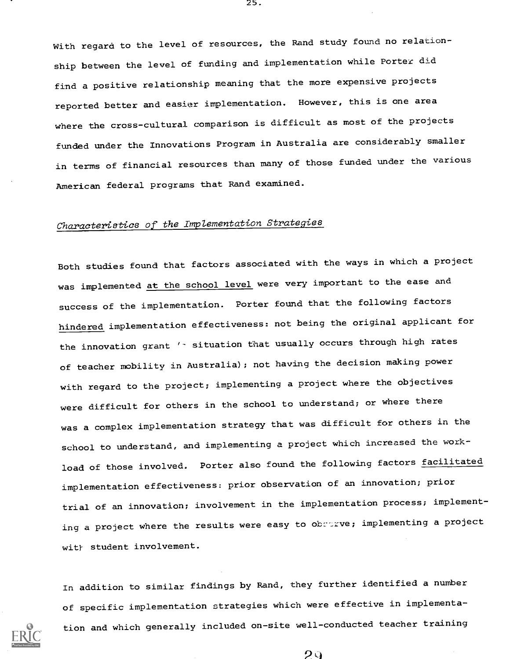With regard to the level of resources, the Rand study found no relationship between the level of funding and implementation while Porter did find a positive relationship meaning that the more expensive projects reported better and easier implementation. However, this is one area where the cross-cultural comparison is difficult as most of the projects funded under the Innovations Program in Australia are considerably smaller in terms of financial resources than many of those funded under the various American federal programs that Rand examined.

# Characteristics of the Implementation Strategies

Both studies found that factors associated with the ways in which a project was implemented at the school level were very important to the ease and success of the implementation. Porter found that the following factors hindered implementation effectiveness: not being the original applicant for the innovation grant '- situation that usually occurs through high rates of teacher mobility in Australia); not having the decision making power with regard to the project; implementing a project where the objectives were difficult for others in the school to understand; or where there was a complex implementation strategy that was difficult for others in the school to understand, and implementing a project which increased the workload of those involved. Porter also found the following factors facilitated implementation effectiveness: prior observation of an innovation; prior trial of an innovation; involvement in the implementation process; implementing a project where the results were easy to obstrve; implementing a project wit} student involvement.

In addition to similar findings by Rand, they further identified a number of specific implementation strategies which were effective in implementation and which generally included on-site well-conducted teacher training

 $29$ 

25.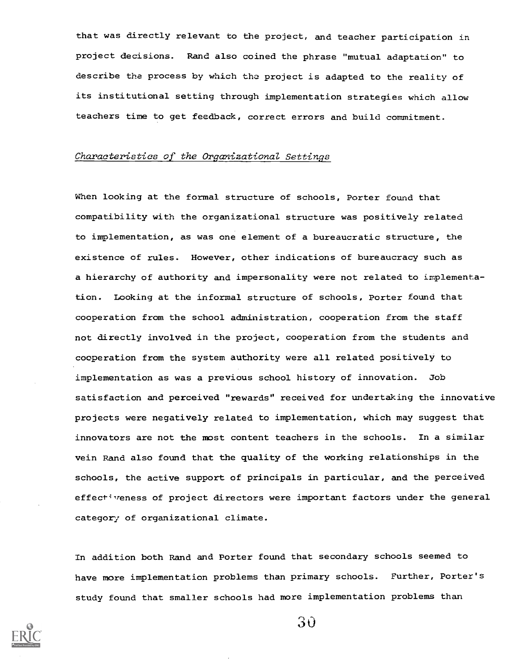that was directly relevant to the project, and teacher participation in project decisions. Rand also coined the phrase "mutual adaptation" to describe the process by which the project is adapted to the reality of its institutional setting through implementation strategies which allow teachers time to get feedback, correct errors and build commitment.

#### Characteristics of the Organizational Settings

When looking at the formal structure of schools, Porter found that compatibility with the organizational structure was positively related to implementation, as was one element of a bureaucratic structure, the existence of rules. However, other indications of bureaucracy such as a hierarchy of authority and impersonality were not related to implementation. Looking at the informal structure of schools, Porter found that cooperation from the school administration, cooperation from the staff not directly involved in the project, cooperation from the students and cooperation from the system authority were all related positively to implementation as was a previous school history of innovation. Job satisfaction and perceived "rewards" received for undertaking the innovative projects were negatively related to implementation, which may suggest that innovators are not the most content teachers in the schools. In a similar vein Rand also found that the quality of the working relationships in the schools, the active support of principals in particular, and the perceived effectiveness of project directors were important factors under the general category of organizational climate.

In addition both Rand and Porter found that secondary schools seemed to have more implementation problems than primary schools. Further, Porter's study found that smaller schools had more implementation problems than

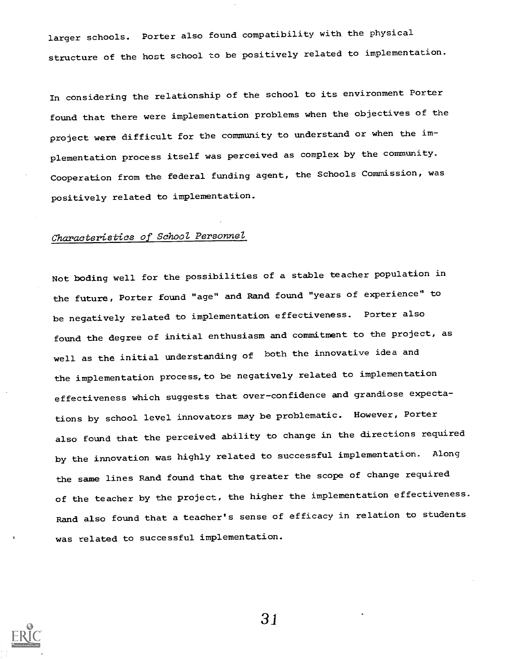larger schools. Porter also found compatibility with the physical structure of the host school to be positively related to implementation.

In considering the relationship of the school to its environment Porter found that there were implementation problems when the objectives of the project were difficult for the community to understand or when the implementation process itself was perceived as complex by the community. Cooperation from the federal funding agent, the Schools Commission, was positively related to implementation.

## Characteristics of School Personnel

Not boding well for the possibilities of a stable teacher population in the future, Porter found "age" and Rand found "years of experience" to be negatively related to implementation effectiveness. Porter also found the degree of initial enthusiasm and commitment to the project, as well as the initial understanding of both the innovative idea and the implementation process, to be negatively related to implementation effectiveness which suggests that over-confidence and grandiose expectations by school level innovators may be problematic. However, Porter also found that the perceived ability to change in the directions required by the innovation was highly related to successful implementation. Along the same lines Rand found that the greater the scope of change required of the teacher by the project, the higher the implementation effectiveness. Rand also found that a teacher's sense of efficacy in relation to students was related to successful implementation.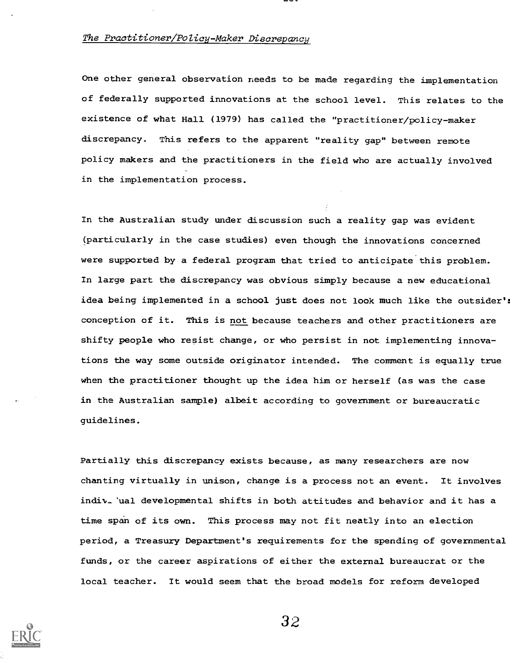#### The Practitioner/Policy-Maker Discrepancy

One other general observation needs to be made regarding the implementation of federally supported innovations at the school level. This relates to the existence of what Hall (1979) has called the "practitioner/policy-maker discrepancy. This refers to the apparent "reality gap" between remote policy makers and the practitioners in the field who are actually involved in the implementation process.

In the Australian study under discussion such a reality gap was evident (particularly in the case studies) even though the innovations concerned were supported by a federal program that tried to anticipate this problem. In large part the discrepancy was obvious simply because a new educational idea being implemented in a school just does not look much like the outsider': conception of it. This is not because teachers and other practitioners are shifty people who resist change, or who persist in not implementing innovations the way some outside originator intended. The comment is equally true when the practitioner thought up the idea him or herself (as was the case in the Australian sample) albeit according to government or bureaucratic guidelines.

Partially this discrepancy exists because, as many researchers are now chanting virtually in unison, change is a process not an event. It involves indiy-'ual developmental shifts in both attitudes and behavior and it has a time span of its own. This process may not fit neatly into an election period, a Treasury Department's requirements for the spending of governmental funds, or the career aspirations of either the external bureaucrat or the local teacher. It would seem that the broad models for reform developed

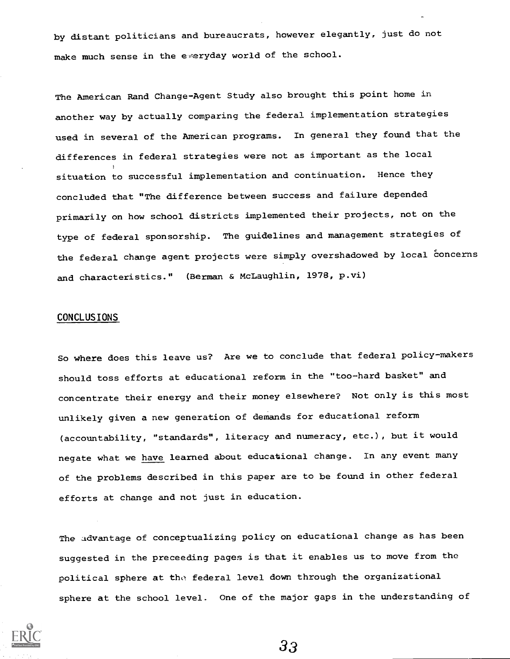by distant politicians and bureaucrats, however elegantly, just do not make much sense in the everyday world of the school.

The American Rand Change-Agent Study also brought this point home in another way by actually comparing the federal implementation strategies used in several of the American programs. In general they found that the differences in federal strategies were not as important as the local situation to successful implementation and continuation. Hence they concluded that "The difference between success and failure depended primarily on how school districts implemented their projects, not on the type of federal sponsorship. The guidelines and management strategies of the federal change agent projects were simply overshadowed by local concerns and characteristics." (Berman & McLaughlin, 1978, p.vi)

#### CONCLUSIONS

So where does this leave us? Are we to conclude that federal policy-makers should toss efforts at educational reform in the "too-hard basket" and concentrate their energy and their money elsewhere? Not only is this most unlikely given a new generation of demands for educational reform (accountability, "standards", literacy and numeracy, etc.), but it would negate what we have learned about educational change. In any event many of the problems described in this paper are to be found in other federal efforts at change and not just in education.

The advantage of conceptualizing policy on educational change as has been suggested in the preceeding pages is that it enables us to move from the political sphere at tho federal level down through the organizational sphere at the school level. One of the major gaps in the understanding of

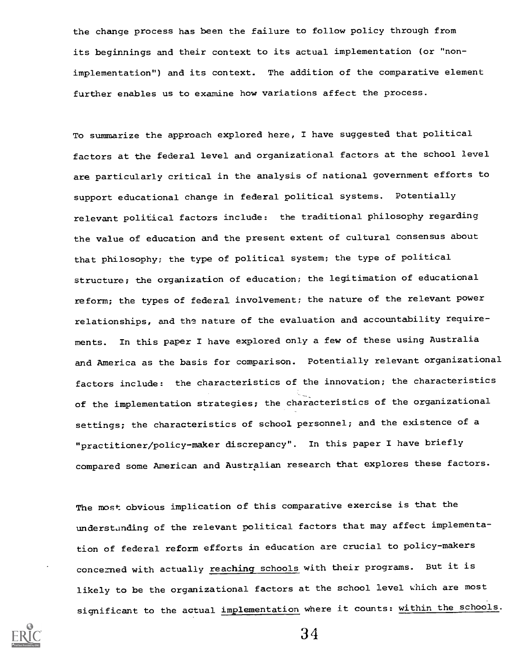the change process has been the failure to follow policy through from its beginnings and their context to its actual implementation (or "nonimplementation") and its context. The addition of the comparative element further enables us to examine how variations affect the process.

To summarize the approach explored here, I have suggested that political factors at the federal level and organizational factors at the school level are particularly critical in the analysis of national government efforts to support educational change in federal political systems. Potentially relevant political factors include: the traditional philosophy regarding the value of education and the present extent of cultural consensus about that philosophy; the type of political system; the type of political structure; the organization of education; the legitimation of educational reform; the types of federal involvement; the nature of the relevant power relationships, and the nature of the evaluation and accountability requirements. In this paper I have explored only a few of these using Australia and America as the basis for comparison. Potentially relevant organizational factors include: the characteristics of the innovation; the characteristics of the implementation strategies; the characteristics of the organizational settings; the characteristics of school personnel; and the existence of a "practitioner/policy-maker discrepancy". In this paper I have briefly compared some American and Australian research that explores these factors.

The most obvious implication of this comparative exercise is that the understanding of the relevant political factors that may affect implementation of federal reform efforts in education are crucial to policy-makers concerned with actually reaching schools with their programs. But it is likely to be the organizational factors at the school level which are most significant to the actual implementation where it counts: within the schools.

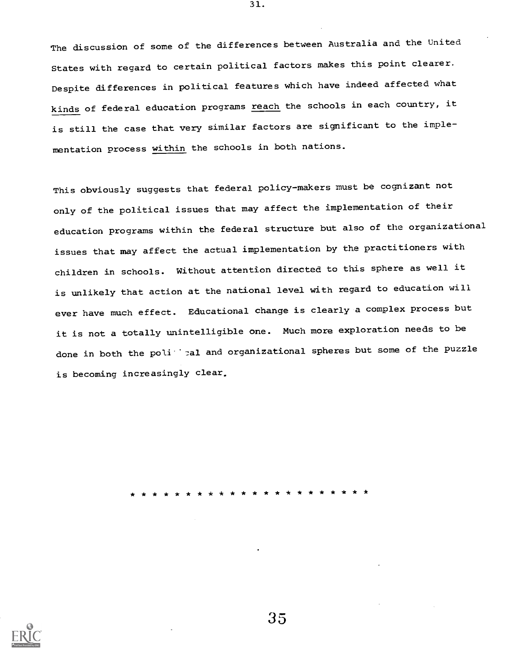The discussion of some of the differences between Australia and the United States with regard to certain political factors makes this point clearer. Despite differences in political features which have indeed affected what kinds of federal education programs *reach* the schools in each country, it is still the case that very similar factors are significant to the implementation process within the schools in both nations.

31.

This obviously suggests that federal policy-makers must be cognizant not only of the political issues that may affect the implementation of their education programs within the federal structure but also of the organizational issues that may affect the actual implementation by the practitioners with children in schools. Without attention directed to this sphere as well it is unlikely that action at the national level with regard to education will ever have much effect. Educational change is clearly a complex process but it is not a totally unintelligible one. Much more exploration needs to be done in both the poli' al and organizational spheres but some of the puzzle is becoming increasingly clear.

\* \* \* \* \* \* \* \* \* \* \* \* \* \* \* \* \* \* \* \* \* \*